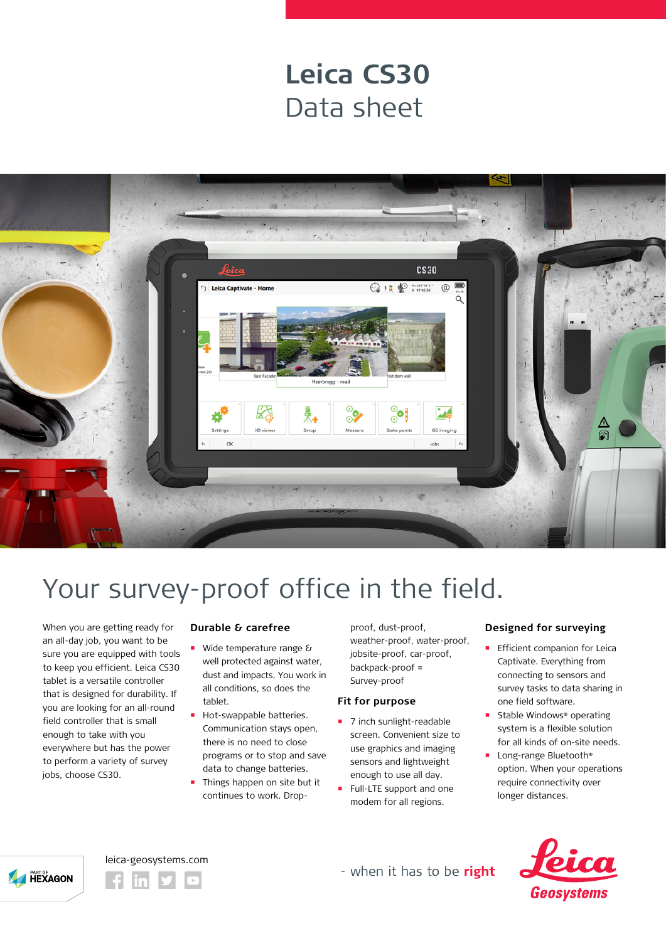## **Leica CS30** Data sheet



# Your survey-proof office in the field.

When you are getting ready for an all-day job, you want to be sure you are equipped with tools to keep you efficient. Leica CS30 tablet is a versatile controller that is designed for durability. If you are looking for an all-round field controller that is small enough to take with you everywhere but has the power to perform a variety of survey jobs, choose CS30.

#### **Durable & carefree**

- Wide temperature range & well protected against water, dust and impacts. You work in all conditions, so does the tablet.
- **Hot-swappable batteries.** Communication stays open, there is no need to close programs or to stop and save data to change batteries.
- Things happen on site but it continues to work. Drop-

proof, dust-proof, weather-proof, water-proof, jobsite-proof, car-proof, backpack-proof = Survey-proof

#### **Fit for purpose**

- 7 inch sunlight-readable screen. Convenient size to use graphics and imaging sensors and lightweight enough to use all day.
- Full-LTE support and one modem for all regions.

#### **Designed for surveying**

- Efficient companion for Leica Captivate. Everything from connecting to sensors and survey tasks to data sharing in one field software.
- Stable Windows® operating system is a flexible solution for all kinds of on-site needs.
- Long-range Bluetooth® option. When your operations require connectivity over longer distances.







- when it has to be right